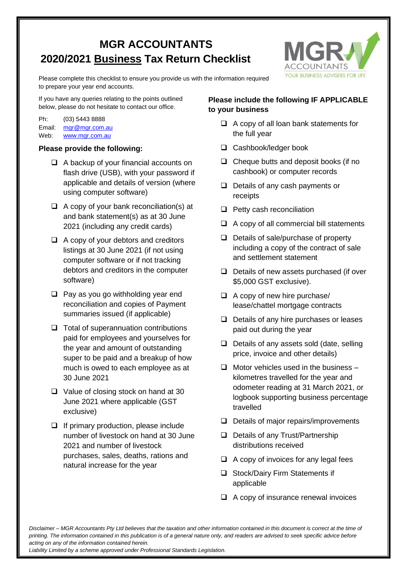## **MGR ACCOUNTANTS 2020/2021 Business Tax Return Checklist**



Please complete this checklist to ensure you provide us with the information required to prepare your year end accounts.

If you have any queries relating to the points outlined below, please do not hesitate to contact our office.

Ph: (03) 5443 8888 Email: [mgr@mgr.com.au](mailto:mgr@mgr.com.au) Web: [www.mgr.com.au](http://www.mgr.com.au/)

## **Please provide the following:**

- ❑ A backup of your financial accounts on flash drive (USB), with your password if applicable and details of version (where using computer software)
- ❑ A copy of your bank reconciliation(s) at and bank statement(s) as at 30 June 2021 (including any credit cards)
- ❑ A copy of your debtors and creditors listings at 30 June 2021 (if not using computer software or if not tracking debtors and creditors in the computer software)
- ❑ Pay as you go withholding year end reconciliation and copies of Payment summaries issued (if applicable)
- ❑ Total of superannuation contributions paid for employees and yourselves for the year and amount of outstanding super to be paid and a breakup of how much is owed to each employee as at 30 June 2021
- ❑ Value of closing stock on hand at 30 June 2021 where applicable (GST exclusive)
- ❑ If primary production, please include number of livestock on hand at 30 June 2021 and number of livestock purchases, sales, deaths, rations and natural increase for the year

## **Please include the following IF APPLICABLE to your business**

- ❑ A copy of all loan bank statements for the full year
- ❑ Cashbook/ledger book
- ❑ Cheque butts and deposit books (if no cashbook) or computer records
- ❑ Details of any cash payments or receipts
- ❑ Petty cash reconciliation
- ❑ A copy of all commercial bill statements
- ❑ Details of sale/purchase of property including a copy of the contract of sale and settlement statement
- ❑ Details of new assets purchased (if over \$5,000 GST exclusive).
- ❑ A copy of new hire purchase/ lease/chattel mortgage contracts
- ❑ Details of any hire purchases or leases paid out during the year
- ❑ Details of any assets sold (date, selling price, invoice and other details)
- $\Box$  Motor vehicles used in the business kilometres travelled for the year and odometer reading at 31 March 2021, or logbook supporting business percentage travelled
- ❑ Details of major repairs/improvements
- ❑ Details of any Trust/Partnership distributions received
- ❑ A copy of invoices for any legal fees
- ❑ Stock/Dairy Firm Statements if applicable
- ❑ A copy of insurance renewal invoices

*Disclaimer – MGR Accountants Pty Ltd believes that the taxation and other information contained in this document is correct at the time of printing. The information contained in this publication is of a general nature only, and readers are advised to seek specific advice before acting on any of the information contained herein.*

*Liability Limited by a scheme approved under Professional Standards Legislation.*